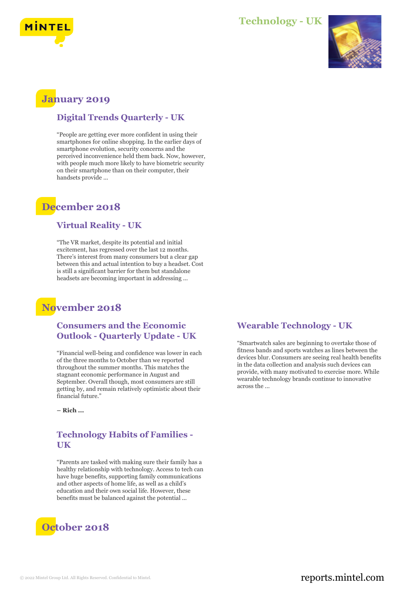

## **Technology - UK**



# **January 2019**

### **Digital Trends Quarterly - UK**

"People are getting ever more confident in using their smartphones for online shopping. In the earlier days of smartphone evolution, security concerns and the perceived inconvenience held them back. Now, however, with people much more likely to have biometric security on their smartphone than on their computer, their handsets provide ...

# **December 2018**

#### **Virtual Reality - UK**

"The VR market, despite its potential and initial excitement, has regressed over the last 12 months. There's interest from many consumers but a clear gap between this and actual intention to buy a headset. Cost is still a significant barrier for them but standalone headsets are becoming important in addressing ...

# **November 2018**

### **Consumers and the Economic Outlook - Quarterly Update - UK**

"Financial well-being and confidence was lower in each of the three months to October than we reported throughout the summer months. This matches the stagnant economic performance in August and September. Overall though, most consumers are still getting by, and remain relatively optimistic about their financial future."

**– Rich ...**

#### **Technology Habits of Families - UK**

"Parents are tasked with making sure their family has a healthy relationship with technology. Access to tech can have huge benefits, supporting family communications and other aspects of home life, as well as a child's education and their own social life. However, these benefits must be balanced against the potential ...



### **Wearable Technology - UK**

"Smartwatch sales are beginning to overtake those of fitness bands and sports watches as lines between the devices blur. Consumers are seeing real health benefits in the data collection and analysis such devices can provide, with many motivated to exercise more. While wearable technology brands continue to innovative across the ...